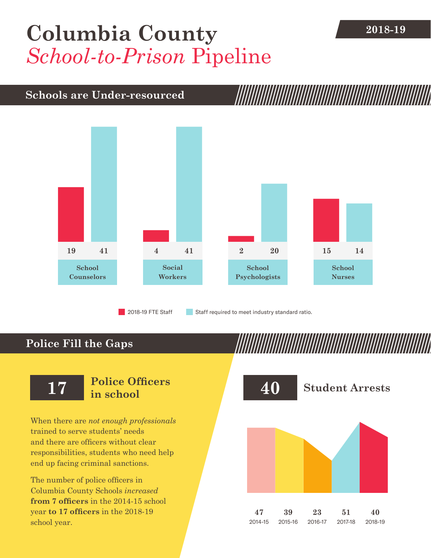## [Columbia County](DBF_County) 2018-19 *School-to-Prison* Pipeline

## **Schools are Under-resourced**



## **Police Fill the Gaps**

When there are *not enough professionals* trained to serve students' needs and there are officers without clear responsibilities, students who need help end up facing criminal sanctions.

The number of police officers in [Columbia County](DBF_County) Schools *increased* **from [7](DBF_PO1415) officers** in the 2014-15 school year **to [17](DBF_PO) officers** in the 2018-19 school year.